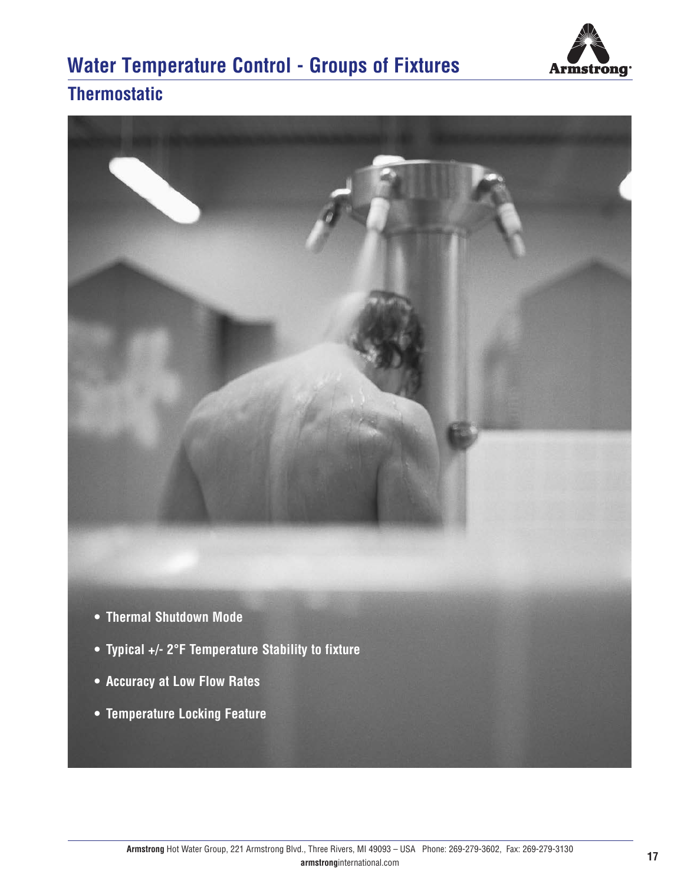

## **Water Temperature Control - Groups of Fixtures**

## **Thermostatic**